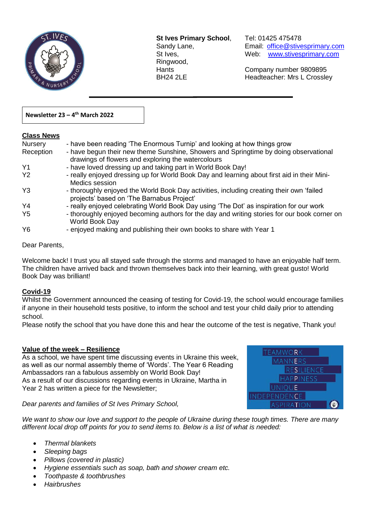

**St Ives Primary School**, Tel: 01425 475478 Ringwood,

 $\overline{a}$ 

Sandy Lane, Email: office@stivesprimary.com St Ives, [www.stivesprimary.com](http://www.stives.dorset.sch.uk/)

Hants Company number 9809895 BH24 2LE Headteacher: Mrs L Crossley

# **Newsletter 23 – 4 th March 2022**

# **Class News**

| <b>Nursery</b> | - have been reading 'The Enormous Turnip' and looking at how things grow                                                                   |
|----------------|--------------------------------------------------------------------------------------------------------------------------------------------|
| Reception      | - have begun their new theme Sunshine, Showers and Springtime by doing observational<br>drawings of flowers and exploring the watercolours |
| Y1             | - have loved dressing up and taking part in World Book Day!                                                                                |
| <b>Y2</b>      | - really enjoyed dressing up for World Book Day and learning about first aid in their Mini-<br>Medics session                              |
| Y3             | - thoroughly enjoyed the World Book Day activities, including creating their own 'failed<br>projects' based on 'The Barnabus Project'      |
| Y4             | - really enjoyed celebrating World Book Day using 'The Dot' as inspiration for our work                                                    |
| Y <sub>5</sub> | - thoroughly enjoyed becoming authors for the day and writing stories for our book corner on<br>World Book Day                             |
| Y6             | - enjoyed making and publishing their own books to share with Year 1                                                                       |
|                |                                                                                                                                            |

## Dear Parents,

Welcome back! I trust you all stayed safe through the storms and managed to have an enjoyable half term. The children have arrived back and thrown themselves back into their learning, with great gusto! World Book Day was brilliant!

## **Covid-19**

Whilst the Government announced the ceasing of testing for Covid-19, the school would encourage families if anyone in their household tests positive, to inform the school and test your child daily prior to attending school.

Please notify the school that you have done this and hear the outcome of the test is negative, Thank you!

## **Value of the week – Resilience**

As a school, we have spent time discussing events in Ukraine this week, as well as our normal assembly theme of 'Words'. The Year 6 Reading Ambassadors ran a fabulous assembly on World Book Day! As a result of our discussions regarding events in Ukraine, Martha in Year 2 has written a piece for the Newsletter;

**TEAMWORK MANNERS RESILIENCE HAPPINESS UNIOUE** INDEPENDENCE SPIRATION

## *Dear parents and families of St Ives Primary School,*

*We want to show our love and support to the people of Ukraine during these tough times. There are many different local drop off points for you to send items to. Below is a list of what is needed:*

- *Thermal blankets*
- *Sleeping bags*
- *Pillows (covered in plastic)*
- *Hygiene essentials such as soap, bath and shower cream etc.*
- *Toothpaste & toothbrushes*
- *Hairbrushes*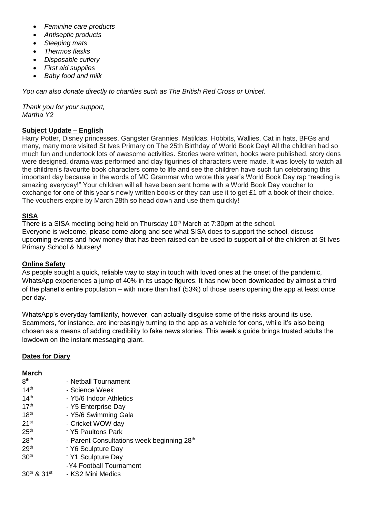- *Feminine care products*
- *Antiseptic products*
- *Sleeping mats*
- *Thermos flasks*
- *Disposable cutlery*
- *First aid supplies*
- *Baby food and milk*

*You can also donate directly to charities such as The British Red Cross or Unicef.* 

*Thank you for your support, Martha Y2*

# **Subject Update – English**

Harry Potter, Disney princesses, Gangster Grannies, Matildas, Hobbits, Wallies, Cat in hats, BFGs and many, many more visited St Ives Primary on The 25th Birthday of World Book Day! All the children had so much fun and undertook lots of awesome activities. Stories were written, books were published, story dens were designed, drama was performed and clay figurines of characters were made. It was lovely to watch all the children's favourite book characters come to life and see the children have such fun celebrating this important day because in the words of MC Grammar who wrote this year's World Book Day rap "reading is amazing everyday!" Your children will all have been sent home with a World Book Day voucher to exchange for one of this year's newly written books or they can use it to get £1 off a book of their choice. The vouchers expire by March 28th so head down and use them quickly!

# **SISA**

There is a SISA meeting being held on Thursday  $10<sup>th</sup>$  March at 7:30pm at the school. Everyone is welcome, please come along and see what SISA does to support the school, discuss upcoming events and how money that has been raised can be used to support all of the children at St Ives Primary School & Nursery!

## **Online Safety**

As people sought a quick, reliable way to stay in touch with loved ones at the onset of the pandemic, WhatsApp experiences a jump of 40% in its usage figures. It has now been downloaded by almost a third of the planet's entire population – with more than half (53%) of those users opening the app at least once per day.

WhatsApp's everyday familiarity, however, can actually disguise some of the risks around its use. Scammers, for instance, are increasingly turning to the app as a vehicle for cons, while it's also being chosen as a means of adding credibility to fake news stories. This week's guide brings trusted adults the lowdown on the instant messaging giant.

## **Dates for Diary**

## **March**

| 8 <sup>th</sup>  | - Netball Tournament                                   |
|------------------|--------------------------------------------------------|
| 14 <sup>th</sup> | - Science Week                                         |
| 14 <sup>th</sup> | - Y5/6 Indoor Athletics                                |
| 17 <sup>th</sup> | - Y5 Enterprise Day                                    |
| 18 <sup>th</sup> | - Y5/6 Swimming Gala                                   |
| 21 <sup>st</sup> | - Cricket WOW day                                      |
| 25 <sup>th</sup> | Y5 Paultons Park                                       |
| 28 <sup>th</sup> | - Parent Consultations week beginning 28 <sup>th</sup> |
| 29 <sup>th</sup> | <sup>-</sup> Y6 Sculpture Day                          |
| 30 <sup>th</sup> | Y1 Sculpture Day                                       |
|                  | -Y4 Football Tournament                                |
| 30th & 31st      | - KS2 Mini Medics                                      |